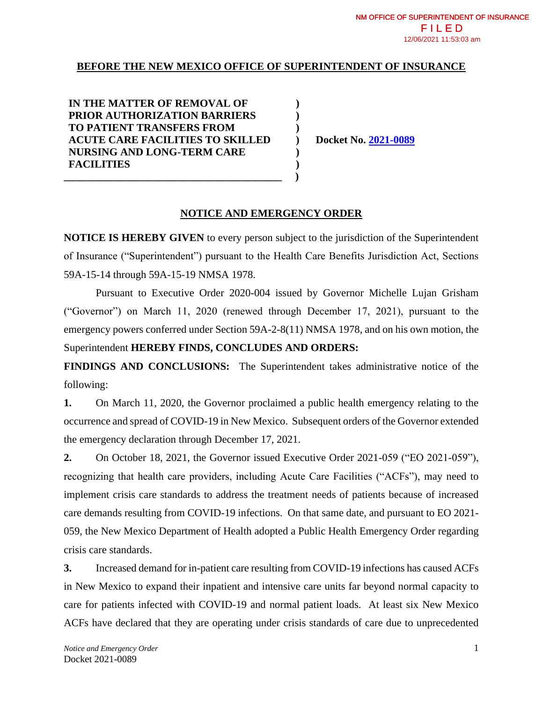## **BEFORE THE NEW MEXICO OFFICE OF SUPERINTENDENT OF INSURANCE**

**) ) ) ) ) )**

**IN THE MATTER OF REMOVAL OF PRIOR AUTHORIZATION BARRIERS TO PATIENT TRANSFERS FROM ACUTE CARE FACILITIES TO SKILLED NURSING AND LONG-TERM CARE FACILITIES \_\_\_\_\_\_\_\_\_\_\_\_\_\_\_\_\_\_\_\_\_\_\_\_\_\_\_\_\_\_\_\_\_\_\_\_\_\_\_\_\_ )**

**Docket No. [2021-0089](https://edocket.osi.state.nm.us/guest/case-view/5712)**

## **NOTICE AND EMERGENCY ORDER**

**NOTICE IS HEREBY GIVEN** to every person subject to the jurisdiction of the Superintendent of Insurance ("Superintendent") pursuant to the Health Care Benefits Jurisdiction Act, Sections 59A-15-14 through 59A-15-19 NMSA 1978.

Pursuant to Executive Order 2020-004 issued by Governor Michelle Lujan Grisham ("Governor") on March 11, 2020 (renewed through December 17, 2021), pursuant to the emergency powers conferred under Section 59A-2-8(11) NMSA 1978, and on his own motion, the Superintendent **HEREBY FINDS, CONCLUDES AND ORDERS:**

**FINDINGS AND CONCLUSIONS:** The Superintendent takes administrative notice of the following:

**1.** On March 11, 2020, the Governor proclaimed a public health emergency relating to the occurrence and spread of COVID-19 in New Mexico. Subsequent orders of the Governor extended the emergency declaration through December 17, 2021.

**2.** On October 18, 2021, the Governor issued Executive Order 2021-059 ("EO 2021-059"), recognizing that health care providers, including Acute Care Facilities ("ACFs"), may need to implement crisis care standards to address the treatment needs of patients because of increased care demands resulting from COVID-19 infections. On that same date, and pursuant to EO 2021- 059, the New Mexico Department of Health adopted a Public Health Emergency Order regarding crisis care standards.

**3.** Increased demand for in-patient care resulting from COVID-19 infections has caused ACFs in New Mexico to expand their inpatient and intensive care units far beyond normal capacity to care for patients infected with COVID-19 and normal patient loads. At least six New Mexico ACFs have declared that they are operating under crisis standards of care due to unprecedented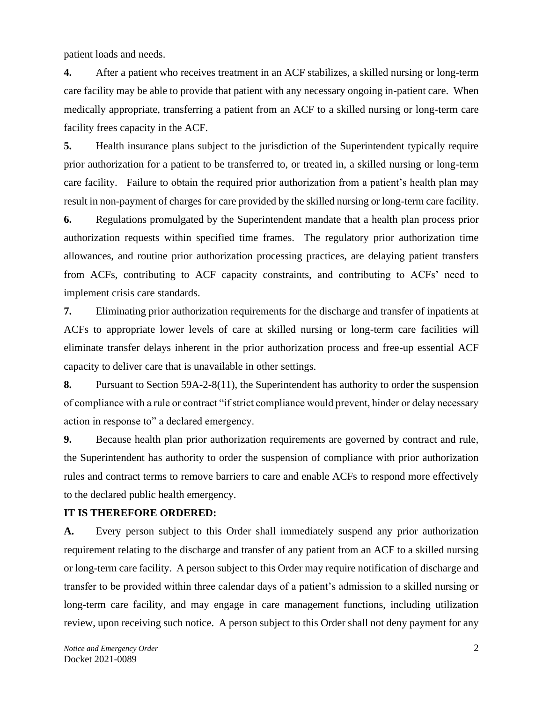patient loads and needs.

**4.** After a patient who receives treatment in an ACF stabilizes, a skilled nursing or long-term care facility may be able to provide that patient with any necessary ongoing in-patient care. When medically appropriate, transferring a patient from an ACF to a skilled nursing or long-term care facility frees capacity in the ACF.

**5.** Health insurance plans subject to the jurisdiction of the Superintendent typically require prior authorization for a patient to be transferred to, or treated in, a skilled nursing or long-term care facility. Failure to obtain the required prior authorization from a patient's health plan may result in non-payment of charges for care provided by the skilled nursing or long-term care facility.

**6.** Regulations promulgated by the Superintendent mandate that a health plan process prior authorization requests within specified time frames. The regulatory prior authorization time allowances, and routine prior authorization processing practices, are delaying patient transfers from ACFs, contributing to ACF capacity constraints, and contributing to ACFs' need to implement crisis care standards.

**7.** Eliminating prior authorization requirements for the discharge and transfer of inpatients at ACFs to appropriate lower levels of care at skilled nursing or long-term care facilities will eliminate transfer delays inherent in the prior authorization process and free-up essential ACF capacity to deliver care that is unavailable in other settings.

**8.** Pursuant to Section 59A-2-8(11), the Superintendent has authority to order the suspension of compliance with a rule or contract "if strict compliance would prevent, hinder or delay necessary action in response to" a declared emergency.

**9.** Because health plan prior authorization requirements are governed by contract and rule, the Superintendent has authority to order the suspension of compliance with prior authorization rules and contract terms to remove barriers to care and enable ACFs to respond more effectively to the declared public health emergency.

## **IT IS THEREFORE ORDERED:**

**A.** Every person subject to this Order shall immediately suspend any prior authorization requirement relating to the discharge and transfer of any patient from an ACF to a skilled nursing or long-term care facility. A person subject to this Order may require notification of discharge and transfer to be provided within three calendar days of a patient's admission to a skilled nursing or long-term care facility, and may engage in care management functions, including utilization review, upon receiving such notice. A person subject to this Order shall not deny payment for any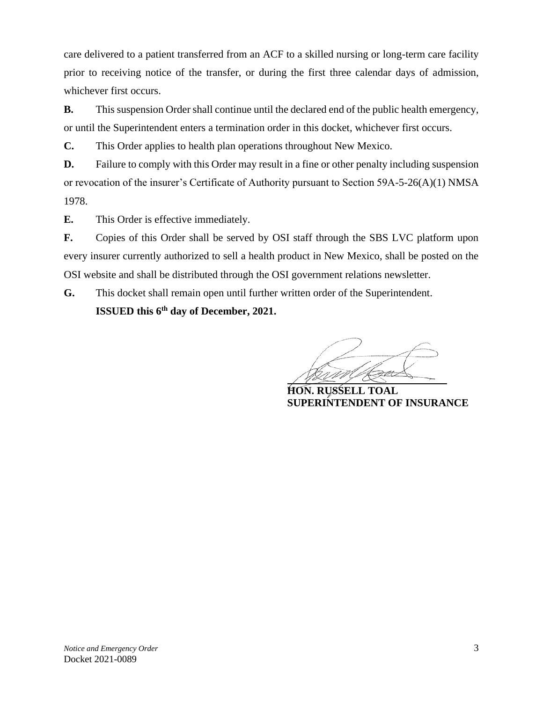care delivered to a patient transferred from an ACF to a skilled nursing or long-term care facility prior to receiving notice of the transfer, or during the first three calendar days of admission, whichever first occurs.

**B.** This suspension Order shall continue until the declared end of the public health emergency, or until the Superintendent enters a termination order in this docket, whichever first occurs.

**C.** This Order applies to health plan operations throughout New Mexico.

**D.** Failure to comply with this Order may result in a fine or other penalty including suspension or revocation of the insurer's Certificate of Authority pursuant to Section 59A-5-26(A)(1) NMSA 1978.

**E.** This Order is effective immediately.

**F.** Copies of this Order shall be served by OSI staff through the SBS LVC platform upon every insurer currently authorized to sell a health product in New Mexico, shall be posted on the OSI website and shall be distributed through the OSI government relations newsletter.

**G.** This docket shall remain open until further written order of the Superintendent. **ISSUED** this 6<sup>th</sup> day of December, 2021.

**HON. RUSSELL TOAL SUPERINTENDENT OF INSURANCE**